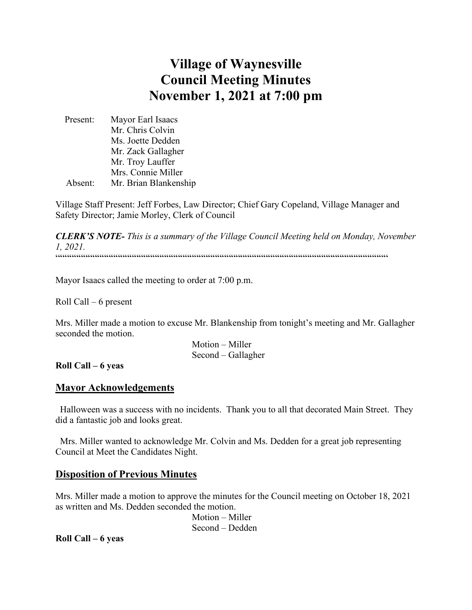# **Village of Waynesville Council Meeting Minutes November 1, 2021 at 7:00 pm**

 Present: Mayor Earl Isaacs Mr. Chris Colvin Ms. Joette Dedden Mr. Zack Gallagher Mr. Troy Lauffer Mrs. Connie Miller Absent: Mr. Brian Blankenship

Village Staff Present: Jeff Forbes, Law Director; Chief Gary Copeland, Village Manager and Safety Director; Jamie Morley, Clerk of Council

*CLERK'S NOTE- This is a summary of the Village Council Meeting held on Monday, November 1, 2021.*   $\label{prop:main}$ 

Mayor Isaacs called the meeting to order at 7:00 p.m.

Roll Call – 6 present

Mrs. Miller made a motion to excuse Mr. Blankenship from tonight's meeting and Mr. Gallagher seconded the motion.

> Motion – Miller Second – Gallagher

**Roll Call – 6 yeas**

### **Mayor Acknowledgements**

 Halloween was a success with no incidents. Thank you to all that decorated Main Street. They did a fantastic job and looks great.

 Mrs. Miller wanted to acknowledge Mr. Colvin and Ms. Dedden for a great job representing Council at Meet the Candidates Night.

### **Disposition of Previous Minutes**

Mrs. Miller made a motion to approve the minutes for the Council meeting on October 18, 2021 as written and Ms. Dedden seconded the motion.

> Motion – Miller Second – Dedden

**Roll Call – 6 yeas**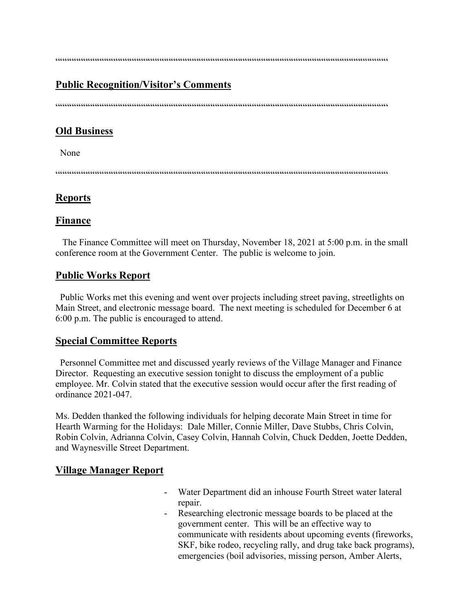$\label{prop:main} \hspace{1.5cm} \hspace{1.5cm} \hspace{1.5cm} \hspace{1.5cm} \hspace{1.5cm} \hspace{1.5cm} \hspace{1.5cm} \hspace{1.5cm} \hspace{1.5cm} \hspace{1.5cm} \hspace{1.5cm} \hspace{1.5cm} \hspace{1.5cm} \hspace{1.5cm} \hspace{1.5cm} \hspace{1.5cm} \hspace{1.5cm} \hspace{1.5cm} \hspace{1.5cm} \hspace{1.5cm} \hspace{1.5cm} \hspace{1.5cm} \hspace{1.5cm} \hspace{1.$ 

### **Public Recognition/Visitor's Comments**

 $\cdots$ 

### **Old Business**

None

 $\hspace{1.5em} {\color{blue}{{\color{blue}{{\color{blue}{{\color{blue}{{\color{blue}{{\color{blue}{{\color{blue}{{\color{blue}{{\color{blue}{{\color{blue}{{\color{blue}{{\color{blue}{{\color{blue}{{\color{blue}{{\color{blue}{{\color{blue}{{\color{blue}{{\color{blue}{{\color{blue}{{\color{blue}{{\color{blue}{{\color{blue}{{\color{blue}{{\color{blue}{{\color{blue}{{\color{blue}{{\color{blue}{{\color{blue}{{\color{blue}{{\color{blue}{{\color{blue}{{\color{blue}{{\color{blue}{{\color{blue}{{\color{blue}{{\$ 

### **Reports**

#### **Finance**

 The Finance Committee will meet on Thursday, November 18, 2021 at 5:00 p.m. in the small conference room at the Government Center. The public is welcome to join.

### **Public Works Report**

 Public Works met this evening and went over projects including street paving, streetlights on Main Street, and electronic message board. The next meeting is scheduled for December 6 at 6:00 p.m. The public is encouraged to attend.

#### **Special Committee Reports**

 Personnel Committee met and discussed yearly reviews of the Village Manager and Finance Director. Requesting an executive session tonight to discuss the employment of a public employee. Mr. Colvin stated that the executive session would occur after the first reading of ordinance 2021-047.

Ms. Dedden thanked the following individuals for helping decorate Main Street in time for Hearth Warming for the Holidays: Dale Miller, Connie Miller, Dave Stubbs, Chris Colvin, Robin Colvin, Adrianna Colvin, Casey Colvin, Hannah Colvin, Chuck Dedden, Joette Dedden, and Waynesville Street Department.

#### **Village Manager Report**

- Water Department did an inhouse Fourth Street water lateral repair.
- Researching electronic message boards to be placed at the government center. This will be an effective way to communicate with residents about upcoming events (fireworks, SKF, bike rodeo, recycling rally, and drug take back programs), emergencies (boil advisories, missing person, Amber Alerts,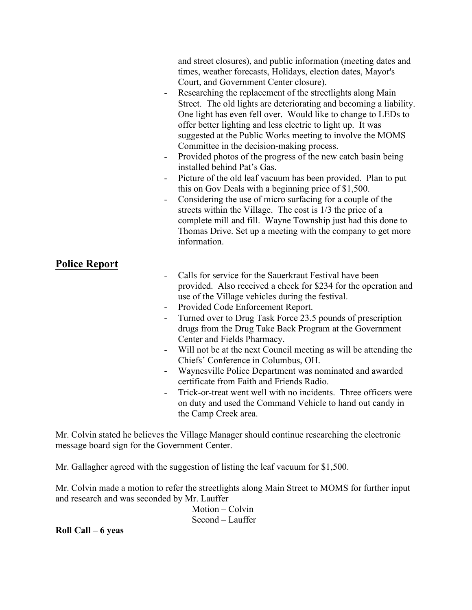and street closures), and public information (meeting dates and times, weather forecasts, Holidays, election dates, Mayor's Court, and Government Center closure).

- Researching the replacement of the streetlights along Main Street. The old lights are deteriorating and becoming a liability. One light has even fell over. Would like to change to LEDs to offer better lighting and less electric to light up. It was suggested at the Public Works meeting to involve the MOMS Committee in the decision-making process.
- Provided photos of the progress of the new catch basin being installed behind Pat's Gas.
- Picture of the old leaf vacuum has been provided. Plan to put this on Gov Deals with a beginning price of \$1,500.
- Considering the use of micro surfacing for a couple of the streets within the Village. The cost is 1/3 the price of a complete mill and fill. Wayne Township just had this done to Thomas Drive. Set up a meeting with the company to get more information.

### **Police Report**

- Calls for service for the Sauerkraut Festival have been provided. Also received a check for \$234 for the operation and use of the Village vehicles during the festival.
- Provided Code Enforcement Report.
- Turned over to Drug Task Force 23.5 pounds of prescription drugs from the Drug Take Back Program at the Government Center and Fields Pharmacy.
- Will not be at the next Council meeting as will be attending the Chiefs' Conference in Columbus, OH.
- Waynesville Police Department was nominated and awarded certificate from Faith and Friends Radio.
- Trick-or-treat went well with no incidents. Three officers were on duty and used the Command Vehicle to hand out candy in the Camp Creek area.

Mr. Colvin stated he believes the Village Manager should continue researching the electronic message board sign for the Government Center.

Mr. Gallagher agreed with the suggestion of listing the leaf vacuum for \$1,500.

Mr. Colvin made a motion to refer the streetlights along Main Street to MOMS for further input and research and was seconded by Mr. Lauffer

> Motion – Colvin Second – Lauffer

**Roll Call – 6 yeas**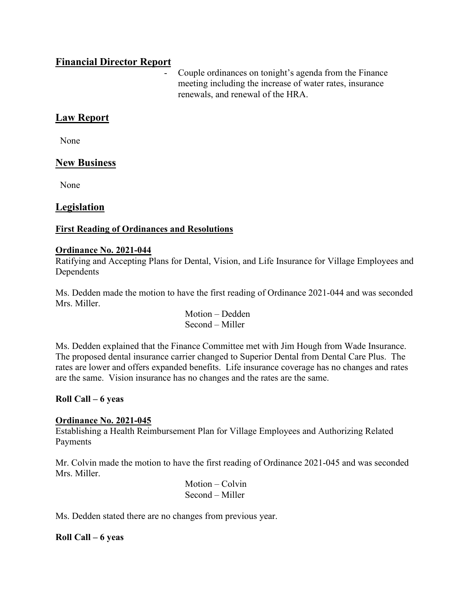### **Financial Director Report**

Couple ordinances on tonight's agenda from the Finance meeting including the increase of water rates, insurance renewals, and renewal of the HRA.

### **Law Report**

None

### **New Business**

None

### **Legislation**

### **First Reading of Ordinances and Resolutions**

#### **Ordinance No. 2021-044**

Ratifying and Accepting Plans for Dental, Vision, and Life Insurance for Village Employees and Dependents

Ms. Dedden made the motion to have the first reading of Ordinance 2021-044 and was seconded Mrs. Miller.

> Motion – Dedden Second – Miller

Ms. Dedden explained that the Finance Committee met with Jim Hough from Wade Insurance. The proposed dental insurance carrier changed to Superior Dental from Dental Care Plus. The rates are lower and offers expanded benefits. Life insurance coverage has no changes and rates are the same. Vision insurance has no changes and the rates are the same.

### **Roll Call – 6 yeas**

### **Ordinance No. 2021-045**

Establishing a Health Reimbursement Plan for Village Employees and Authorizing Related Payments

Mr. Colvin made the motion to have the first reading of Ordinance 2021-045 and was seconded Mrs. Miller.

> Motion – Colvin Second – Miller

Ms. Dedden stated there are no changes from previous year.

#### **Roll Call – 6 yeas**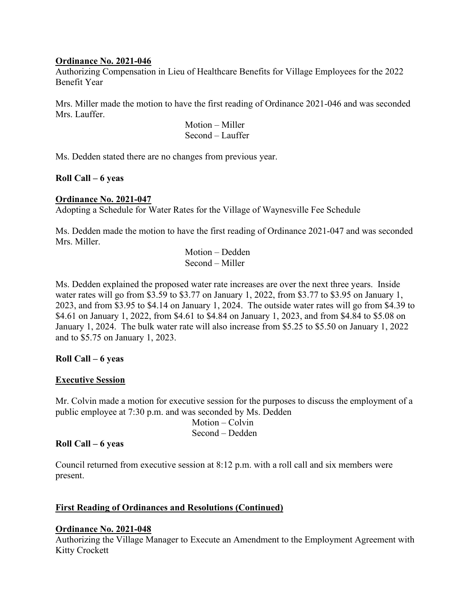#### **Ordinance No. 2021-046**

Authorizing Compensation in Lieu of Healthcare Benefits for Village Employees for the 2022 Benefit Year

Mrs. Miller made the motion to have the first reading of Ordinance 2021-046 and was seconded Mrs. Lauffer.

> Motion – Miller Second – Lauffer

Ms. Dedden stated there are no changes from previous year.

### **Roll Call – 6 yeas**

### **Ordinance No. 2021-047**

Adopting a Schedule for Water Rates for the Village of Waynesville Fee Schedule

Ms. Dedden made the motion to have the first reading of Ordinance 2021-047 and was seconded Mrs. Miller.

> Motion – Dedden Second – Miller

Ms. Dedden explained the proposed water rate increases are over the next three years. Inside water rates will go from \$3.59 to \$3.77 on January 1, 2022, from \$3.77 to \$3.95 on January 1, 2023, and from \$3.95 to \$4.14 on January 1, 2024. The outside water rates will go from \$4.39 to \$4.61 on January 1, 2022, from \$4.61 to \$4.84 on January 1, 2023, and from \$4.84 to \$5.08 on January 1, 2024. The bulk water rate will also increase from \$5.25 to \$5.50 on January 1, 2022 and to \$5.75 on January 1, 2023.

### **Roll Call – 6 yeas**

### **Executive Session**

Mr. Colvin made a motion for executive session for the purposes to discuss the employment of a public employee at 7:30 p.m. and was seconded by Ms. Dedden

 Motion – Colvin Second – Dedden

### **Roll Call – 6 yeas**

Council returned from executive session at 8:12 p.m. with a roll call and six members were present.

### **First Reading of Ordinances and Resolutions (Continued)**

### **Ordinance No. 2021-048**

Authorizing the Village Manager to Execute an Amendment to the Employment Agreement with Kitty Crockett